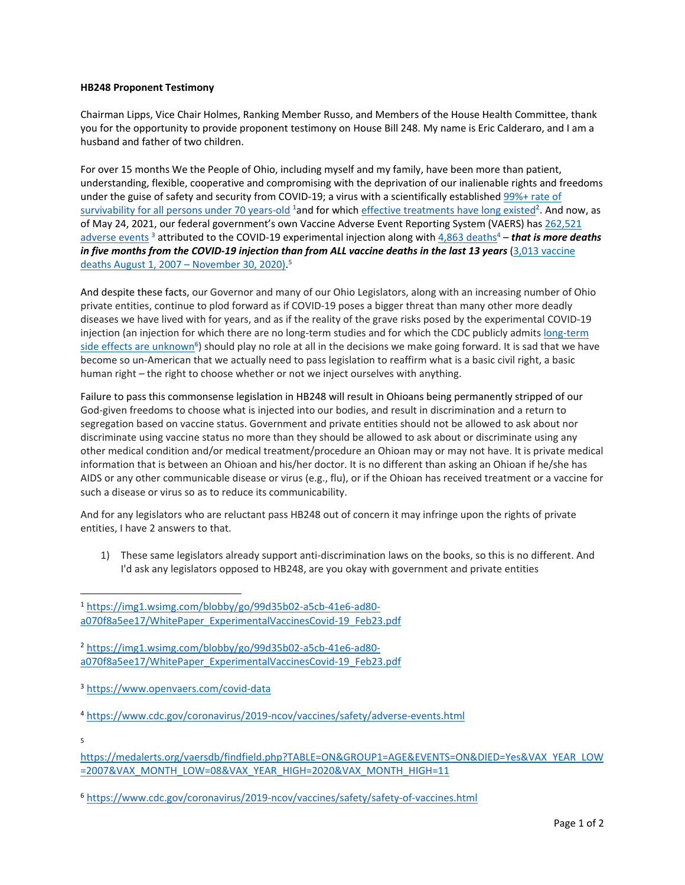## **HB248 Proponent Testimony**

Chairman Lipps, Vice Chair Holmes, Ranking Member Russo, and Members of the House Health Committee, thank you for the opportunity to provide proponent testimony on House Bill 248. My name is Eric Calderaro, and I am a husband and father of two children.

For over 15 months We the People of Ohio, including myself and my family, have been more than patient, understanding, flexible, cooperative and compromising with the deprivation of our inalienable rights and freedoms under the guise of safety and security from COVID-19; a virus with a scientifically established 99%+ rate of survivability [for all persons under 70 years-old](https://img1.wsimg.com/blobby/go/99d35b02-a5cb-41e6-ad80-a070f8a5ee17/WhitePaper_ExperimentalVaccinesCovid-19_Feb23.pdf) **<sup>1</sup>**and for which effective [treatments have long existed](https://img1.wsimg.com/blobby/go/99d35b02-a5cb-41e6-ad80-a070f8a5ee17/WhitePaper_ExperimentalVaccinesCovid-19_Feb23.pdf)**<sup>2</sup> .** And now, as of May 24, 2021, our federal government's own Vaccine Adverse Event Reporting System (VAERS) ha[s 262,521](https://www.openvaers.com/covid-data) [adverse events](https://www.openvaers.com/covid-data)<sup>3</sup> attributed to the COVID-19 experimental injection along with [4,863 deaths](https://www.cdc.gov/coronavirus/2019-ncov/vaccines/safety/adverse-events.html)<sup>4</sup> – *that is more deaths in five months from the COVID-19 injection than from ALL vaccine deaths in the last 13 years* [\(3,013 vaccine](https://medalerts.org/vaersdb/findfield.php?TABLE=ON&GROUP1=AGE&EVENTS=ON&DIED=Yes&VAX_YEAR_LOW=2007&VAX_MONTH_LOW=08&VAX_YEAR_HIGH=2020&VAX_MONTH_HIGH=11)  [deaths August 1, 2007](https://medalerts.org/vaersdb/findfield.php?TABLE=ON&GROUP1=AGE&EVENTS=ON&DIED=Yes&VAX_YEAR_LOW=2007&VAX_MONTH_LOW=08&VAX_YEAR_HIGH=2020&VAX_MONTH_HIGH=11) – November 30, 2020). **5**

And despite these facts, our Governor and many of our Ohio Legislators, along with an increasing number of Ohio private entities, continue to plod forward as if COVID-19 poses a bigger threat than many other more deadly diseases we have lived with for years, and as if the reality of the grave risks posed by the experimental COVID-19 injection (an injection for which there are no long-term studies and for which the CDC publicly admits [long-term](https://www.cdc.gov/coronavirus/2019-ncov/vaccines/safety/safety-of-vaccines.html)  [side effects are unknown](https://www.cdc.gov/coronavirus/2019-ncov/vaccines/safety/safety-of-vaccines.html)<sup>6</sup>) should play no role at all in the decisions we make going forward. It is sad that we have become so un-American that we actually need to pass legislation to reaffirm what is a basic civil right, a basic human right – the right to choose whether or not we inject ourselves with anything.

Failure to pass this commonsense legislation in HB248 will result in Ohioans being permanently stripped of our God-given freedoms to choose what is injected into our bodies, and result in discrimination and a return to segregation based on vaccine status. Government and private entities should not be allowed to ask about nor discriminate using vaccine status no more than they should be allowed to ask about or discriminate using any other medical condition and/or medical treatment/procedure an Ohioan may or may not have. It is private medical information that is between an Ohioan and his/her doctor. It is no different than asking an Ohioan if he/she has AIDS or any other communicable disease or virus (e.g., flu), or if the Ohioan has received treatment or a vaccine for such a disease or virus so as to reduce its communicability.

And for any legislators who are reluctant pass HB248 out of concern it may infringe upon the rights of private entities, I have 2 answers to that.

1) These same legislators already support anti-discrimination laws on the books, so this is no different. And I'd ask any legislators opposed to HB248, are you okay with government and private entities

<sup>2</sup> [https://img1.wsimg.com/blobby/go/99d35b02-a5cb-41e6-ad80](https://img1.wsimg.com/blobby/go/99d35b02-a5cb-41e6-ad80-a070f8a5ee17/WhitePaper_ExperimentalVaccinesCovid-19_Feb23.pdf) [a070f8a5ee17/WhitePaper\\_ExperimentalVaccinesCovid-19\\_Feb23.pdf](https://img1.wsimg.com/blobby/go/99d35b02-a5cb-41e6-ad80-a070f8a5ee17/WhitePaper_ExperimentalVaccinesCovid-19_Feb23.pdf)

5

<sup>1</sup> [https://img1.wsimg.com/blobby/go/99d35b02-a5cb-41e6-ad80](https://img1.wsimg.com/blobby/go/99d35b02-a5cb-41e6-ad80-a070f8a5ee17/WhitePaper_ExperimentalVaccinesCovid-19_Feb23.pdf) [a070f8a5ee17/WhitePaper\\_ExperimentalVaccinesCovid-19\\_Feb23.pdf](https://img1.wsimg.com/blobby/go/99d35b02-a5cb-41e6-ad80-a070f8a5ee17/WhitePaper_ExperimentalVaccinesCovid-19_Feb23.pdf)

<sup>3</sup> <https://www.openvaers.com/covid-data>

<sup>4</sup> <https://www.cdc.gov/coronavirus/2019-ncov/vaccines/safety/adverse-events.html>

[https://medalerts.org/vaersdb/findfield.php?TABLE=ON&GROUP1=AGE&EVENTS=ON&DIED=Yes&VAX\\_YEAR\\_LOW](https://medalerts.org/vaersdb/findfield.php?TABLE=ON&GROUP1=AGE&EVENTS=ON&DIED=Yes&VAX_YEAR_LOW=2007&VAX_MONTH_LOW=08&VAX_YEAR_HIGH=2020&VAX_MONTH_HIGH=11) [=2007&VAX\\_MONTH\\_LOW=08&VAX\\_YEAR\\_HIGH=2020&VAX\\_MONTH\\_HIGH=11](https://medalerts.org/vaersdb/findfield.php?TABLE=ON&GROUP1=AGE&EVENTS=ON&DIED=Yes&VAX_YEAR_LOW=2007&VAX_MONTH_LOW=08&VAX_YEAR_HIGH=2020&VAX_MONTH_HIGH=11)

<sup>6</sup> <https://www.cdc.gov/coronavirus/2019-ncov/vaccines/safety/safety-of-vaccines.html>